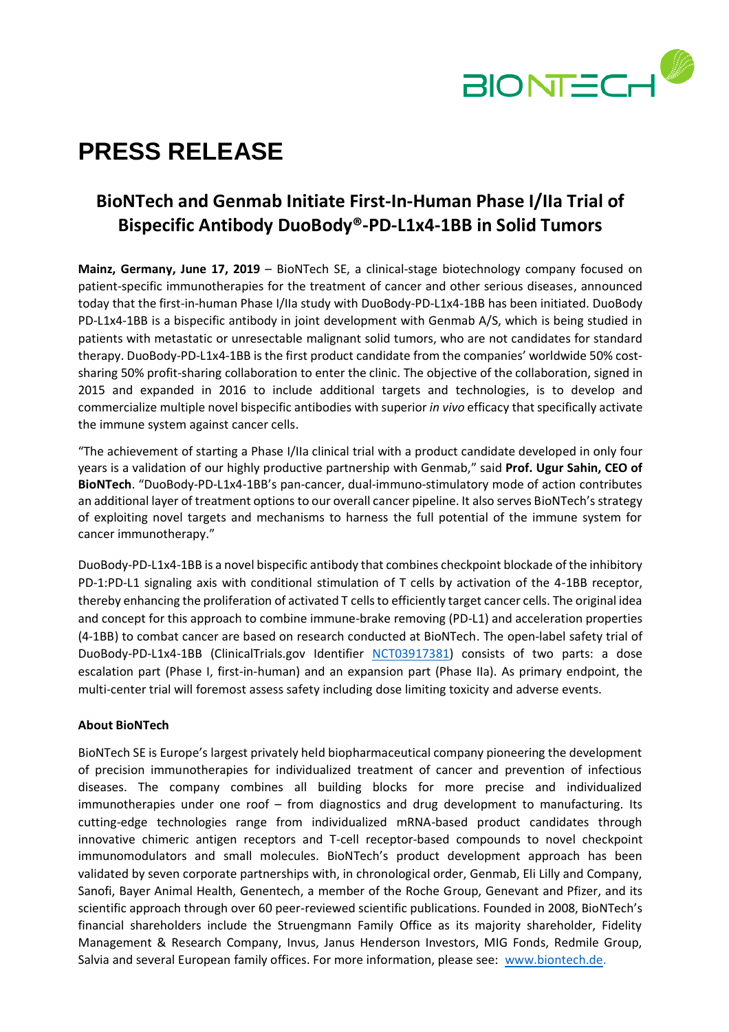

# **PRESS RELEASE**

# **BioNTech and Genmab Initiate First-In-Human Phase I/IIa Trial of Bispecific Antibody DuoBody®-PD-L1x4-1BB in Solid Tumors**

**Mainz, Germany, June 17, 2019** – BioNTech SE, a clinical-stage biotechnology company focused on patient-specific immunotherapies for the treatment of cancer and other serious diseases, announced today that the first-in-human Phase I/IIa study with DuoBody-PD-L1x4-1BB has been initiated. DuoBody PD-L1x4-1BB is a bispecific antibody in joint development with Genmab A/S, which is being studied in patients with metastatic or unresectable malignant solid tumors, who are not candidates for standard therapy. DuoBody-PD-L1x4-1BB is the first product candidate from the companies' worldwide 50% costsharing 50% profit-sharing collaboration to enter the clinic. The objective of the collaboration, signed in 2015 and expanded in 2016 to include additional targets and technologies, is to develop and commercialize multiple novel bispecific antibodies with superior *in vivo* efficacy that specifically activate the immune system against cancer cells.

"The achievement of starting a Phase I/IIa clinical trial with a product candidate developed in only four years is a validation of our highly productive partnership with Genmab," said **Prof. Ugur Sahin, CEO of BioNTech**. "DuoBody-PD-L1x4-1BB's pan-cancer, dual-immuno-stimulatory mode of action contributes an additional layer of treatment options to our overall cancer pipeline. It also serves BioNTech's strategy of exploiting novel targets and mechanisms to harness the full potential of the immune system for cancer immunotherapy."

DuoBody-PD-L1x4-1BB is a novel bispecific antibody that combines checkpoint blockade of the inhibitory PD-1:PD-L1 signaling axis with conditional stimulation of T cells by activation of the 4-1BB receptor, thereby enhancing the proliferation of activated T cells to efficiently target cancer cells. The original idea and concept for this approach to combine immune-brake removing (PD-L1) and acceleration properties (4-1BB) to combat cancer are based on research conducted at BioNTech. The open-label safety trial of DuoBody-PD-L1x4-1BB (ClinicalTrials.gov Identifier [NCT03917381\)](https://clinicaltrials.gov/ct2/show/NCT03917381) consists of two parts: a dose escalation part (Phase I, first-in-human) and an expansion part (Phase IIa). As primary endpoint, the multi-center trial will foremost assess safety including dose limiting toxicity and adverse events.

## **About BioNTech**

BioNTech SE is Europe's largest privately held biopharmaceutical company pioneering the development of precision immunotherapies for individualized treatment of cancer and prevention of infectious diseases. The company combines all building blocks for more precise and individualized immunotherapies under one roof – from diagnostics and drug development to manufacturing. Its cutting-edge technologies range from individualized mRNA-based product candidates through innovative chimeric antigen receptors and T-cell receptor-based compounds to novel checkpoint immunomodulators and small molecules. BioNTech's product development approach has been validated by seven corporate partnerships with, in chronological order, Genmab, Eli Lilly and Company, Sanofi, Bayer Animal Health, Genentech, a member of the Roche Group, Genevant and Pfizer, and its scientific approach through over 60 peer-reviewed scientific publications. Founded in 2008, BioNTech's financial shareholders include the Struengmann Family Office as its majority shareholder, Fidelity Management & Research Company, Invus, Janus Henderson Investors, MIG Fonds, Redmile Group, Salvia and several European family offices. For more information, please see: [www.biontech.de.](http://www.biontech.de/)